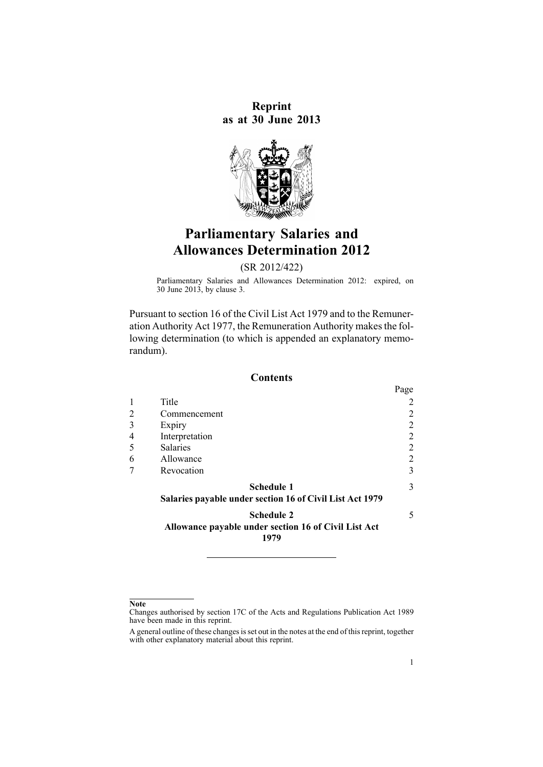**Reprint as at 30 June 2013**



# **Parliamentary Salaries and Allowances Determination 2012**

(SR 2012/422)

Parliamentary Salaries and Allowances Determination 2012: expired, on 30 June 2013, by [clause](http://www.legislation.govt.nz/pdflink.aspx?id=DLM4940522) 3.

Pursuant to [section](http://www.legislation.govt.nz/pdflink.aspx?id=DLM32410) 16 of the Civil List Act 1979 and to the [Remune](http://www.legislation.govt.nz/pdflink.aspx?id=DLM15636)r-ation [Authority](http://www.legislation.govt.nz/pdflink.aspx?id=DLM15636) Act 1977, the Remuneration Authority makes the following determination (to which is appended an exp[lanatory](#page-5-0) memo[randum](#page-5-0)).

#### **Contents**

|   |                                                                               | Page           |
|---|-------------------------------------------------------------------------------|----------------|
|   | Title                                                                         | 2              |
|   | Commencement                                                                  | 2              |
| 3 | Expiry                                                                        | 2              |
|   | Interpretation                                                                | 2              |
|   | <b>Salaries</b>                                                               | $\overline{2}$ |
| 6 | Allowance                                                                     | $\overline{2}$ |
|   | Revocation                                                                    | 3              |
|   | <b>Schedule 1</b><br>Salaries payable under section 16 of Civil List Act 1979 | 3              |
|   | <b>Schedule 2</b><br>Allowance payable under section 16 of Civil List Act     | 5              |
|   | 1979                                                                          |                |

**Note**

Changes authorised by [section](http://www.legislation.govt.nz/pdflink.aspx?id=DLM195466) 17C of the Acts and Regulations Publication Act 1989 have been made in this reprint.

A general outline of these changes is set out in the notes at the end of this reprint, together with other explanatory material about this reprint.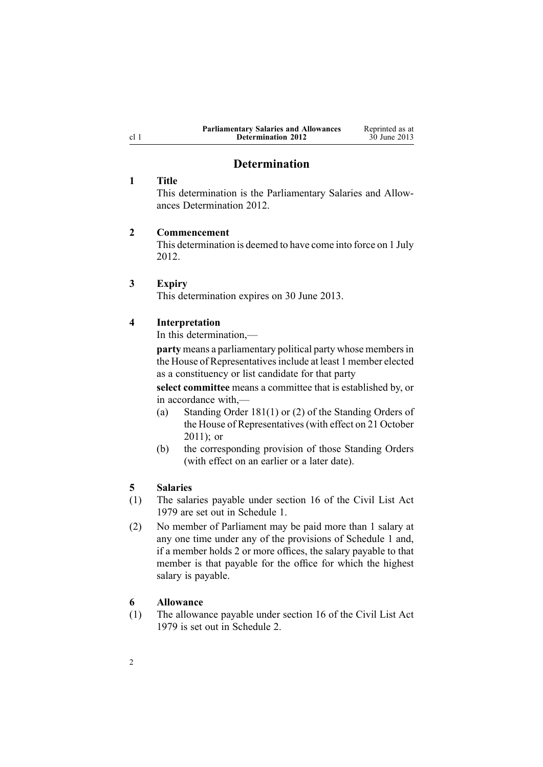| <b>Parliamentary Salaries and Allowances</b> | Reprinted as at |
|----------------------------------------------|-----------------|
| <b>Determination 2012</b>                    | 30 June 2013    |

# **Determination**

#### <span id="page-1-0"></span>**1 Title**

This determination is the Parliamentary Salaries and Allowances Determination 2012.

#### **2 Commencement**

This determination is deemed to have come into force on 1 July 2012.

#### **3 Expiry**

This determination expires on 30 June 2013.

#### **4 Interpretation**

In this determination,—

**party** means <sup>a</sup> parliamentary political party whose membersin the House of Representatives include at least 1 member elected as <sup>a</sup> constituency or list candidate for that party

**select committee** means <sup>a</sup> committee that is established by, or in accordance with,—

- (a) Standing Order 181(1) or (2) of the Standing Orders of the House of Representatives(with effect on 21 October 2011); or
- (b) the corresponding provision of those Standing Orders (with effect on an earlier or <sup>a</sup> later date).

#### **5 Salaries**

- (1) The salaries payable under [section](http://www.legislation.govt.nz/pdflink.aspx?id=DLM32410) 16 of the Civil List Act 1979 are set out in [Schedule](#page-2-0) 1.
- (2) No member of Parliament may be paid more than 1 salary at any one time under any of the provisions of [Schedule](#page-2-0) 1 and, if <sup>a</sup> member holds 2 or more offices, the salary payable to that member is that payable for the office for which the highest salary is payable.

### **6 Allowance**

(1) The allowance payable under [section](http://www.legislation.govt.nz/pdflink.aspx?id=DLM32410) 16 of the Civil List Act 1979 is set out in [Schedule](#page-4-0) 2.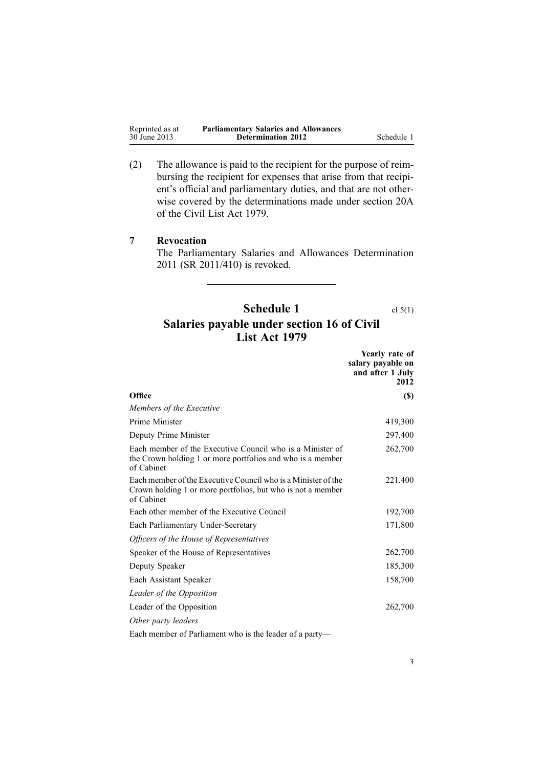<span id="page-2-0"></span>

| Reprinted as at | <b>Parliamentary Salaries and Allowances</b> |            |
|-----------------|----------------------------------------------|------------|
| 30 June 2013    | <b>Determination 2012</b>                    | Schedule 1 |

(2) The allowance is paid to the recipient for the purpose of reimbursing the recipient for expenses that arise from that recipient's official and parliamentary duties, and that are not otherwise covered by the determinations made under [section](http://www.legislation.govt.nz/pdflink.aspx?id=DLM32424) 20A of the Civil List Act 1979.

# **7 Revocation**

The [Parliamentary](http://www.legislation.govt.nz/pdflink.aspx?id=DLM4148116) Salaries and Allowances Determination [2011](http://www.legislation.govt.nz/pdflink.aspx?id=DLM4148116) (SR 2011/410) is revoked.

# **Schedule 1** cl [5\(1\)](#page-1-0) **Salaries payable under section 16 of Civil List Act 1979**

|                                                                                                                                                             | Yearly rate of<br>salary payable on<br>and after 1 July<br>2012 |
|-------------------------------------------------------------------------------------------------------------------------------------------------------------|-----------------------------------------------------------------|
| Office                                                                                                                                                      | <b>(\$)</b>                                                     |
| Members of the Executive                                                                                                                                    |                                                                 |
| Prime Minister                                                                                                                                              | 419,300                                                         |
| Deputy Prime Minister                                                                                                                                       | 297,400                                                         |
| Each member of the Executive Council who is a Minister of<br>the Crown holding 1 or more portfolios and who is a member<br>of Cabinet                       | 262,700                                                         |
| Each member of the Executive Council who is a Minister of the<br>Crown holding 1 or more portfolios, but who is not a member<br>of Cabinet                  | 221,400                                                         |
| Each other member of the Executive Council                                                                                                                  | 192,700                                                         |
| Each Parliamentary Under-Secretary                                                                                                                          | 171,800                                                         |
| Officers of the House of Representatives                                                                                                                    |                                                                 |
| Speaker of the House of Representatives                                                                                                                     | 262,700                                                         |
| Deputy Speaker                                                                                                                                              | 185,300                                                         |
| Each Assistant Speaker                                                                                                                                      | 158,700                                                         |
| Leader of the Opposition                                                                                                                                    |                                                                 |
| Leader of the Opposition                                                                                                                                    | 262,700                                                         |
| Other party leaders                                                                                                                                         |                                                                 |
| $\mathbf{1}$ $\mathbf{1}$ $\mathbf{0}$ $\mathbf{0}$ $\mathbf{1}$ $\mathbf{1}$ $\mathbf{1}$ $\mathbf{1}$ $\mathbf{1}$ $\mathbf{1}$ $\mathbf{1}$ $\mathbf{0}$ |                                                                 |

Each member of Parliament who is the leader of <sup>a</sup> party—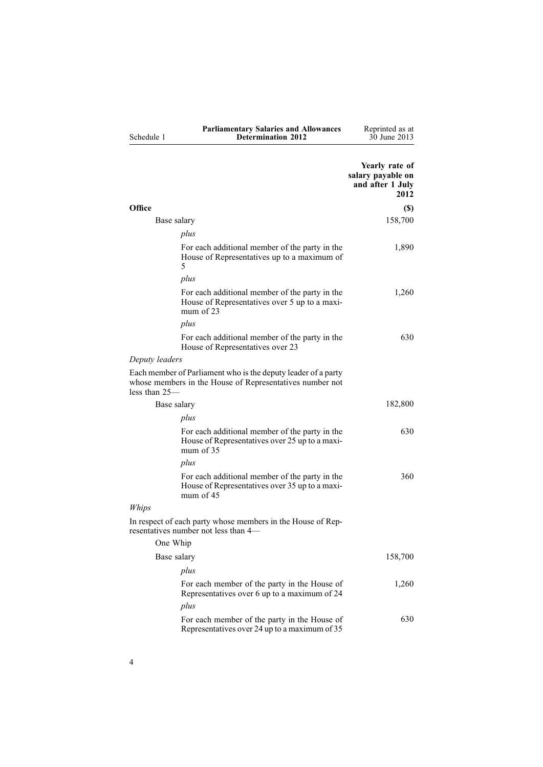|                                                                                                                                              | Yearly rate of<br>salary payable on<br>and after 1 July<br>2012 |
|----------------------------------------------------------------------------------------------------------------------------------------------|-----------------------------------------------------------------|
| Office                                                                                                                                       | $(\$)$                                                          |
| Base salary                                                                                                                                  | 158,700                                                         |
| plus                                                                                                                                         |                                                                 |
| For each additional member of the party in the<br>House of Representatives up to a maximum of<br>5                                           | 1,890                                                           |
| plus                                                                                                                                         |                                                                 |
| For each additional member of the party in the<br>House of Representatives over 5 up to a maxi-<br>mum of $23$                               | 1,260                                                           |
| plus                                                                                                                                         |                                                                 |
| For each additional member of the party in the<br>House of Representatives over 23                                                           | 630                                                             |
| Deputy leaders                                                                                                                               |                                                                 |
| Each member of Parliament who is the deputy leader of a party<br>whose members in the House of Representatives number not<br>less than $25-$ |                                                                 |
| Base salary                                                                                                                                  | 182,800                                                         |
| plus                                                                                                                                         |                                                                 |
| For each additional member of the party in the<br>House of Representatives over 25 up to a maxi-<br>mum of $35$                              | 630                                                             |
| plus                                                                                                                                         |                                                                 |
| For each additional member of the party in the<br>House of Representatives over 35 up to a maxi-<br>mum of $45$                              | 360                                                             |
| Whips                                                                                                                                        |                                                                 |
| In respect of each party whose members in the House of Rep-<br>resentatives number not less than 4—                                          |                                                                 |
| One Whip                                                                                                                                     |                                                                 |
| Base salary                                                                                                                                  | 158,700                                                         |
| plus                                                                                                                                         |                                                                 |
| For each member of the party in the House of<br>Representatives over 6 up to a maximum of 24                                                 | 1,260                                                           |
| plus                                                                                                                                         |                                                                 |
| For each member of the party in the House of<br>Representatives over 24 up to a maximum of 35                                                | 630                                                             |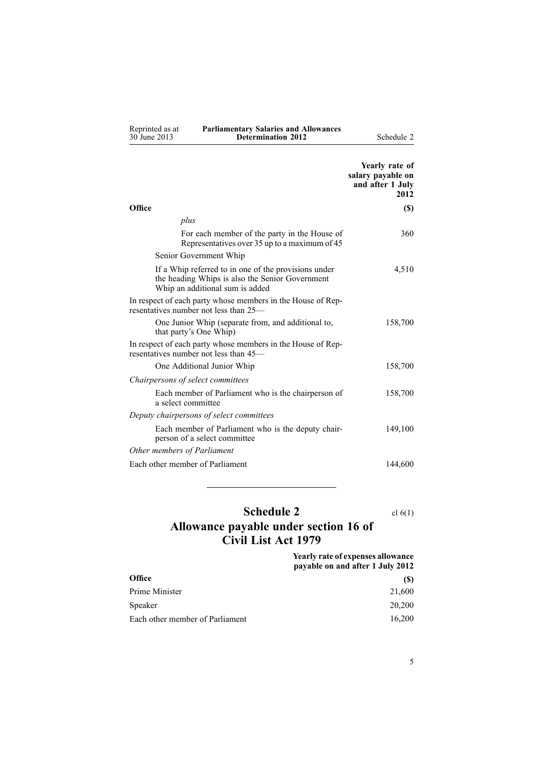<span id="page-4-0"></span>

| Reprinted as at | <b>Parliamentary Salaries and Allowances</b> |
|-----------------|----------------------------------------------|
| 30 June 2013    | <b>Determination 2012</b>                    |

**Schedule 2** 

|                                                                                                                                            | Yearly rate of<br>salary payable on<br>and after 1 July<br>2012 |
|--------------------------------------------------------------------------------------------------------------------------------------------|-----------------------------------------------------------------|
| Office                                                                                                                                     | <b>(\$)</b>                                                     |
| plus                                                                                                                                       |                                                                 |
| For each member of the party in the House of<br>Representatives over 35 up to a maximum of 45                                              | 360                                                             |
| Senior Government Whip                                                                                                                     |                                                                 |
| If a Whip referred to in one of the provisions under<br>the heading Whips is also the Senior Government<br>Whip an additional sum is added | 4,510                                                           |
| In respect of each party whose members in the House of Rep-<br>resentatives number not less than 25—                                       |                                                                 |
| One Junior Whip (separate from, and additional to,<br>that party's One Whip)                                                               | 158,700                                                         |
| In respect of each party whose members in the House of Rep-<br>resentatives number not less than 45—                                       |                                                                 |
| One Additional Junior Whip                                                                                                                 | 158,700                                                         |
| Chairpersons of select committees                                                                                                          |                                                                 |
| Each member of Parliament who is the chairperson of<br>a select committee                                                                  | 158,700                                                         |
| Deputy chairpersons of select committees                                                                                                   |                                                                 |
| Each member of Parliament who is the deputy chair-<br>person of a select committee                                                         | 149,100                                                         |
| Other members of Parliament                                                                                                                |                                                                 |
| Each other member of Parliament                                                                                                            | 144,600                                                         |

# **Schedule 2** cl [6\(1\)](#page-1-0)

# **Allowance payable under section 16 of Civil List Act 1979**

|                                 | <b>Yearly rate of expenses allowance</b><br>payable on and after 1 July 2012 |
|---------------------------------|------------------------------------------------------------------------------|
| <b>Office</b>                   | (S)                                                                          |
| Prime Minister                  | 21,600                                                                       |
| Speaker                         | 20,200                                                                       |
| Each other member of Parliament | 16.200                                                                       |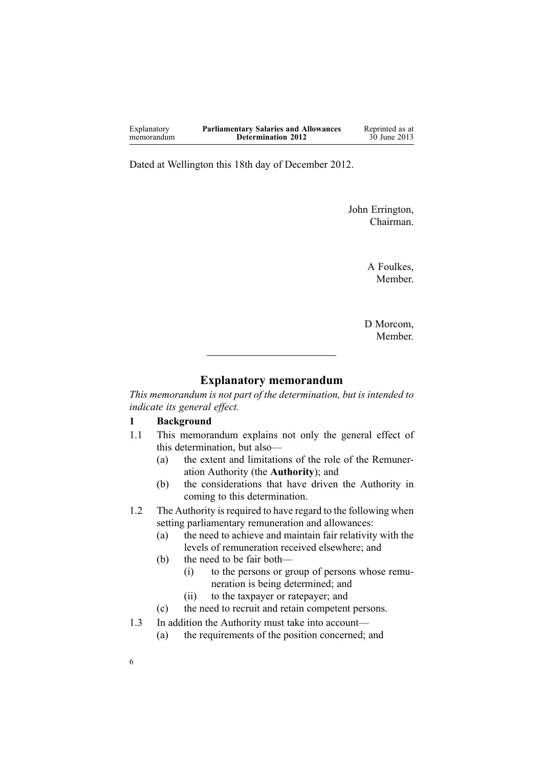<span id="page-5-0"></span>

| Explanatory | <b>Parliamentary Salaries and Allowances</b> | Reprinted as at |
|-------------|----------------------------------------------|-----------------|
| memorandum  | <b>Determination 2012</b>                    | 30 June 2013    |

Dated at Wellington this 18th day of December 2012.

John Errington, Chairman.

> A Foulkes, Member.

D Morcom, Member.

# **Explanatory memorandum**

*This memorandum is not par<sup>t</sup> of the determination, but is intended to indicate its general effect.*

#### **1 Background**

- 1.1 This memorandum explains not only the general effect of this determination, but also—
	- (a) the extent and limitations of the role of the Remuneration Authority (the **Authority**); and
	- (b) the considerations that have driven the Authority in coming to this determination.
- 1.2 The Authority is required to have regard to the following when setting parliamentary remuneration and allowances:
	- (a) the need to achieve and maintain fair relativity with the levels of remuneration received elsewhere; and
	- (b) the need to be fair both—
		- (i) to the persons or group of persons whose remuneration is being determined; and
		- (ii) to the taxpayer or ratepayer; and
	- (c) the need to recruit and retain competent persons.
- 1.3 In addition the Authority must take into account—
	- (a) the requirements of the position concerned; and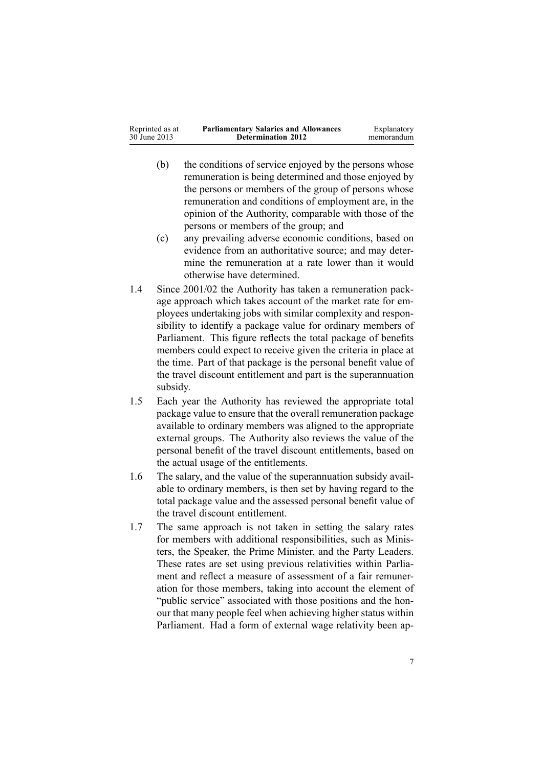| Reprinted as at | <b>Parliamentary Salaries and Allowances</b> | Explanatory |
|-----------------|----------------------------------------------|-------------|
| 30 June 2013    | <b>Determination 2012</b>                    | memorandum  |
|                 |                                              |             |

- (b) the conditions of service enjoyed by the persons whose remuneration is being determined and those enjoyed by the persons or members of the group of persons whose remuneration and conditions of employment are, in the opinion of the Authority, comparable with those of the persons or members of the group; and
- (c) any prevailing adverse economic conditions, based on evidence from an authoritative source; and may determine the remuneration at <sup>a</sup> rate lower than it would otherwise have determined.
- 1.4 Since 2001/02 the Authority has taken <sup>a</sup> remuneration package approach which takes account of the market rate for employees undertaking jobs with similar complexity and responsibility to identify <sup>a</sup> package value for ordinary members of Parliament. This figure reflects the total package of benefits members could expec<sup>t</sup> to receive given the criteria in place at the time. Part of that package is the personal benefit value of the travel discount entitlement and par<sup>t</sup> is the superannuation subsidy.
- 1.5 Each year the Authority has reviewed the appropriate total package value to ensure that the overall remuneration package available to ordinary members was aligned to the appropriate external groups. The Authority also reviews the value of the personal benefit of the travel discount entitlements, based on the actual usage of the entitlements.
- 1.6 The salary, and the value of the superannuation subsidy available to ordinary members, is then set by having regard to the total package value and the assessed personal benefit value of the travel discount entitlement.
- 1.7 The same approach is not taken in setting the salary rates for members with additional responsibilities, such as Ministers, the Speaker, the Prime Minister, and the Party Leaders. These rates are set using previous relativities within Parliament and reflect <sup>a</sup> measure of assessment of <sup>a</sup> fair remuneration for those members, taking into account the element of "public service" associated with those positions and the honour that many people feel when achieving higher status within Parliament. Had <sup>a</sup> form of external wage relativity been ap-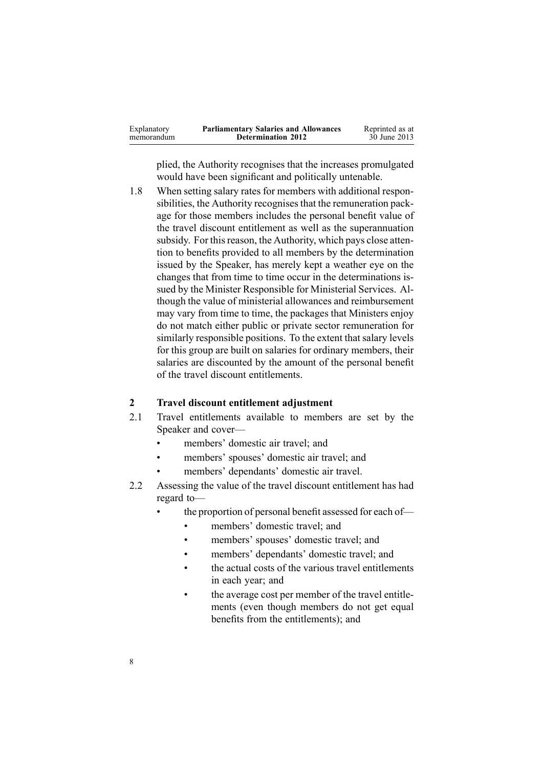| Explanatory | <b>Parliamentary Salaries and Allowances</b> | Reprinted as at |
|-------------|----------------------------------------------|-----------------|
| memorandum  | <b>Determination 2012</b>                    | 30 June 2013    |

plied, the Authority recognises that the increases promulgated would have been significant and politically untenable.

1.8 When setting salary rates for members with additional responsibilities, the Authority recognises that the remuneration package for those members includes the personal benefit value of the travel discount entitlement as well as the superannuation subsidy. For this reason, the Authority, which pays close attention to benefits provided to all members by the determination issued by the Speaker, has merely kept <sup>a</sup> weather eye on the changes that from time to time occur in the determinations issued by the Minister Responsible for Ministerial Services. Although the value of ministerial allowances and reimbursement may vary from time to time, the packages that Ministers enjoy do not match either public or private sector remuneration for similarly responsible positions. To the extent that salary levels for this group are built on salaries for ordinary members, their salaries are discounted by the amount of the personal benefit of the travel discount entitlements.

#### **2 Travel discount entitlement adjustment**

- 2.1 Travel entitlements available to members are set by the Speaker and cover—
	- •members' domestic air travel; and
	- •members' spouses' domestic air travel; and
	- •members' dependants' domestic air travel.
- 2.2 Assessing the value of the travel discount entitlement has had regard to—
	- • the proportion of personal benefit assessed for each of—
		- •members' domestic travel; and
		- •members' spouses' domestic travel; and
		- •members' dependants' domestic travel; and
		- • the actual costs of the various travel entitlements in each year; and
		- • the average cost per member of the travel entitlements (even though members do not ge<sup>t</sup> equal benefits from the entitlements); and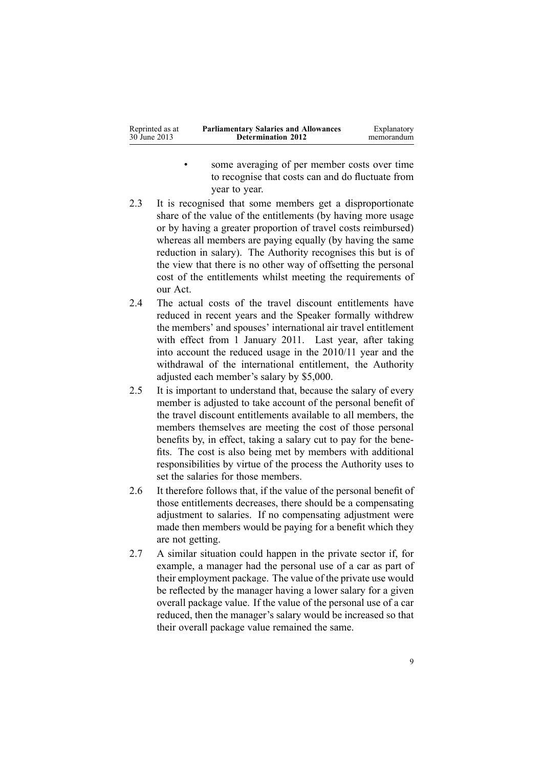- • some averaging of per member costs over time to recognise that costs can and do fluctuate from year to year.
- 2.3 It is recognised that some members ge<sup>t</sup> <sup>a</sup> disproportionate share of the value of the entitlements (by having more usage or by having <sup>a</sup> greater proportion of travel costs reimbursed) whereas all members are paying equally (by having the same reduction in salary). The Authority recognises this but is of the view that there is no other way of offsetting the personal cost of the entitlements whilst meeting the requirements of our Act.
- 2.4 The actual costs of the travel discount entitlements have reduced in recent years and the Speaker formally withdrew the members' and spouses' international air travel entitlement with effect from 1 January 2011. Last year, after taking into account the reduced usage in the 2010/11 year and the withdrawal of the international entitlement, the Authority adjusted each member's salary by \$5,000.
- 2.5 It is important to understand that, because the salary of every member is adjusted to take account of the personal benefit of the travel discount entitlements available to all members, the members themselves are meeting the cost of those personal benefits by, in effect, taking <sup>a</sup> salary cut to pay for the benefits. The cost is also being met by members with additional responsibilities by virtue of the process the Authority uses to set the salaries for those members.
- 2.6 It therefore follows that, if the value of the personal benefit of those entitlements decreases, there should be <sup>a</sup> compensating adjustment to salaries. If no compensating adjustment were made then members would be paying for <sup>a</sup> benefit which they are not getting.
- 2.7 A similar situation could happen in the private sector if, for example, <sup>a</sup> manager had the personal use of <sup>a</sup> car as par<sup>t</sup> of their employment package. The value of the private use would be reflected by the manager having <sup>a</sup> lower salary for <sup>a</sup> given overall package value. If the value of the personal use of <sup>a</sup> car reduced, then the manager's salary would be increased so that their overall package value remained the same.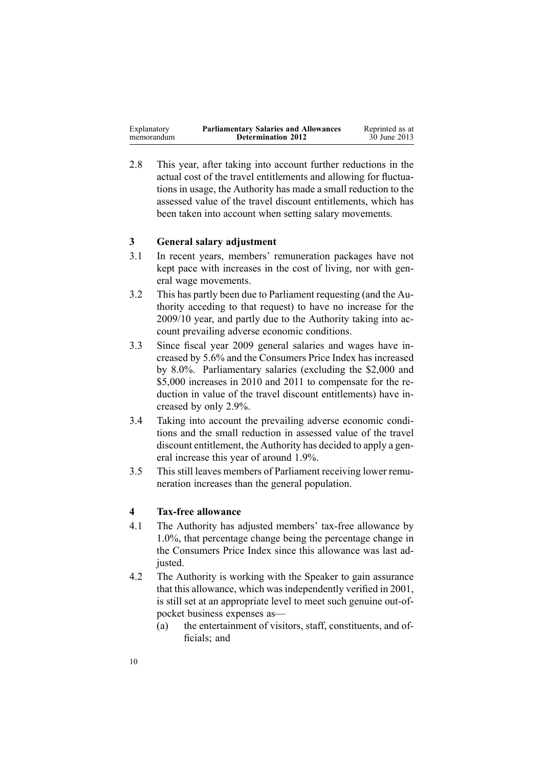| <b>Parliamentary Salaries and Allowances</b><br>Reprinted as at<br>Explanatory<br>30 June 2013<br><b>Determination 2012</b><br>memorandum |
|-------------------------------------------------------------------------------------------------------------------------------------------|
|-------------------------------------------------------------------------------------------------------------------------------------------|

2.8 This year, after taking into account further reductions in the actual cost of the travel entitlements and allowing for fluctuations in usage, the Authority has made <sup>a</sup> small reduction to the assessed value of the travel discount entitlements, which has been taken into account when setting salary movements.

### **3 General salary adjustment**

- 3.1 In recent years, members' remuneration packages have not kept pace with increases in the cost of living, nor with general wage movements.
- 3.2 This has partly been due to Parliament requesting (and the Authority acceding to that request) to have no increase for the 2009/10 year, and partly due to the Authority taking into account prevailing adverse economic conditions.
- 3.3 Since fiscal year 2009 general salaries and wages have increased by 5.6% and the Consumers Price Index has increased by 8.0%. Parliamentary salaries (excluding the \$2,000 and \$5,000 increases in 2010 and 2011 to compensate for the reduction in value of the travel discount entitlements) have increased by only 2.9%.
- 3.4 Taking into account the prevailing adverse economic conditions and the small reduction in assessed value of the travel discount entitlement, the Authority has decided to apply <sup>a</sup> general increase this year of around 1.9%.
- 3.5 This still leaves members of Parliament receiving lower remuneration increases than the general population.

#### **4 Tax-free allowance**

- 4.1 The Authority has adjusted members' tax-free allowance by 1.0%, that percentage change being the percentage change in the Consumers Price Index since this allowance was last adjusted.
- 4.2 The Authority is working with the Speaker to gain assurance that this allowance, which was independently verified in 2001, is still set at an appropriate level to meet such genuine out-ofpocket business expenses as—
	- (a) the entertainment of visitors, staff, constituents, and officials; and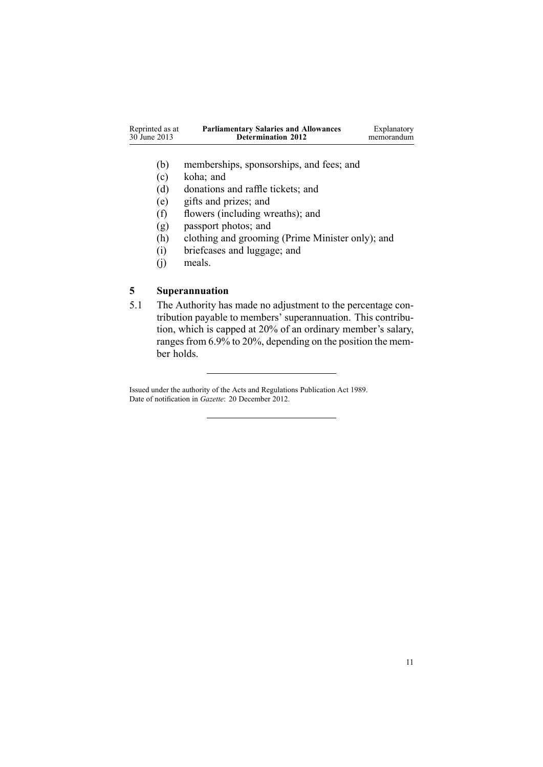| Reprinted as at<br><b>Parliamentary Salaries and Allowances</b><br>30 June 2013<br><b>Determination 2012</b> | Explanatory<br>memorandum |
|--------------------------------------------------------------------------------------------------------------|---------------------------|
|--------------------------------------------------------------------------------------------------------------|---------------------------|

- (b) memberships, sponsorships, and fees; and
- (c) koha; and
- (d) donations and raffle tickets; and
- (e) gifts and prizes; and
- (f) flowers (including wreaths); and
- (g) passpor<sup>t</sup> photos; and
- (h) clothing and grooming (Prime Minister only); and
- (i) briefcases and luggage; and
- (j) meals.

# **5 Superannuation**

5.1 The Authority has made no adjustment to the percentage contribution payable to members' superannuation. This contribution, which is capped at 20% of an ordinary member's salary, ranges from 6.9% to 20%, depending on the position the member holds.

Issued under the authority of the Acts and [Regulations](http://www.legislation.govt.nz/pdflink.aspx?id=DLM195097) Publication Act 1989. Date of notification in *Gazette*: 20 December 2012.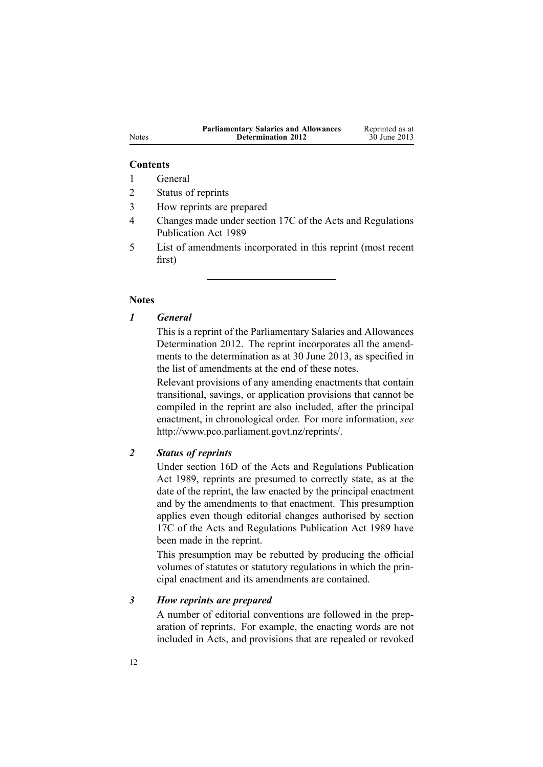| <b>Parliamentary Salaries and Allowances</b> | Reprinted as at |
|----------------------------------------------|-----------------|
| <b>Determination 2012</b>                    | 30 June 2013    |

#### **Contents**

- 1 General
- 2 Status of reprints
- 3 How reprints are prepared
- 4 Changes made under section 17C of the Acts and Regulations Publication Act 1989
- 5 List of amendments incorporated in this reprint (most recent first)

#### **Notes**

# *1 General*

This is <sup>a</sup> reprint of the Parliamentary Salaries and Allowances Determination 2012. The reprint incorporates all the amendments to the determination as at 30 June 2013, as specified in the list of amendments at the end of these notes.

Relevant provisions of any amending enactments that contain transitional, savings, or application provisions that cannot be compiled in the reprint are also included, after the principal enactment, in chronological order. For more information, *see* <http://www.pco.parliament.govt.nz/reprints/>.

# *2 Status of reprints*

Under [section](http://www.legislation.govt.nz/pdflink.aspx?id=DLM195439) 16D of the Acts and Regulations Publication Act 1989, reprints are presumed to correctly state, as at the date of the reprint, the law enacted by the principal enactment and by the amendments to that enactment. This presumption applies even though editorial changes authorised by [section](http://www.legislation.govt.nz/pdflink.aspx?id=DLM195466) [17C](http://www.legislation.govt.nz/pdflink.aspx?id=DLM195466) of the Acts and Regulations Publication Act 1989 have been made in the reprint.

This presumption may be rebutted by producing the official volumes of statutes or statutory regulations in which the principal enactment and its amendments are contained.

#### *3 How reprints are prepared*

A number of editorial conventions are followed in the preparation of reprints. For example, the enacting words are not included in Acts, and provisions that are repealed or revoked

Notes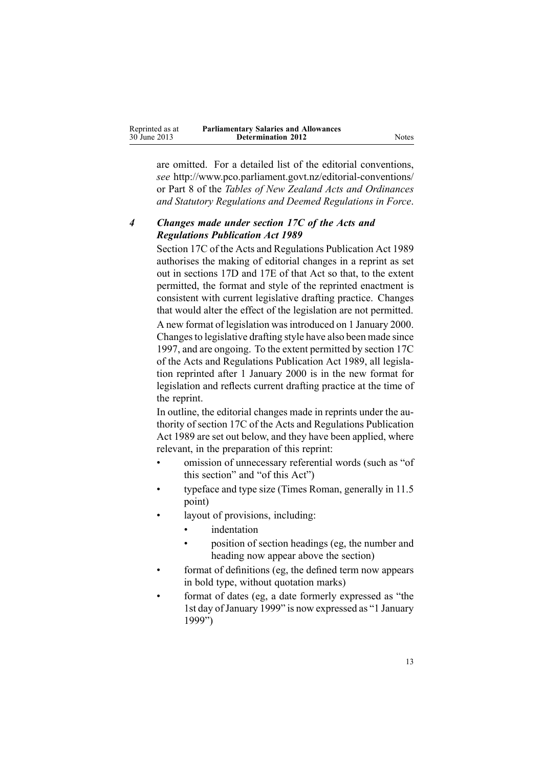| Reprinted as at | <b>Parliamentary Salaries and Allowances</b> |
|-----------------|----------------------------------------------|
| 30 June 2013    | <b>Determination 2012</b>                    |

are omitted. For <sup>a</sup> detailed list of the editorial conventions, *see* <http://www.pco.parliament.govt.nz/editorial-conventions/> or Part 8 of the *Tables of New Zealand Acts and Ordinances and Statutory Regulations and Deemed Regulations in Force*.

# *4 Changes made under section 17C of the Acts and Regulations Publication Act 1989*

[Section](http://www.legislation.govt.nz/pdflink.aspx?id=DLM195466) 17C of the Acts and Regulations Publication Act 1989 authorises the making of editorial changes in <sup>a</sup> reprint as set out in [sections](http://www.legislation.govt.nz/pdflink.aspx?id=DLM195468) 17D and [17E](http://www.legislation.govt.nz/pdflink.aspx?id=DLM195470) of that Act so that, to the extent permitted, the format and style of the reprinted enactment is consistent with current legislative drafting practice. Changes that would alter the effect of the legislation are not permitted.

A new format of legislation wasintroduced on 1 January 2000. Changesto legislative drafting style have also been made since 1997, and are ongoing. To the extent permitted by [section](http://www.legislation.govt.nz/pdflink.aspx?id=DLM195466) 17C of the Acts and Regulations Publication Act 1989, all legislation reprinted after 1 January 2000 is in the new format for legislation and reflects current drafting practice at the time of the reprint.

In outline, the editorial changes made in reprints under the authority of [section](http://www.legislation.govt.nz/pdflink.aspx?id=DLM195466) 17C of the Acts and Regulations Publication Act 1989 are set out below, and they have been applied, where relevant, in the preparation of this reprint:

- • omission of unnecessary referential words (such as "of this section" and "of this Act")
- • typeface and type size (Times Roman, generally in 11.5 point)
- • layout of provisions, including:
	- •indentation
	- • position of section headings (eg, the number and heading now appear above the section)
- • format of definitions (eg, the defined term now appears in bold type, without quotation marks)
- • format of dates (eg, <sup>a</sup> date formerly expressed as "the 1st day ofJanuary 1999" is now expressed as "1 January 1999")

**Notes**